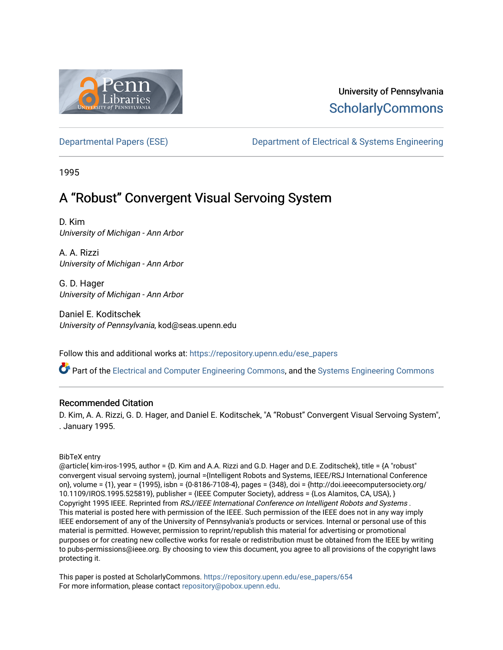

# University of Pennsylvania **ScholarlyCommons**

[Departmental Papers \(ESE\)](https://repository.upenn.edu/ese_papers) [Department of Electrical & Systems Engineering](https://repository.upenn.edu/ese) 

1995

# A "Robust" Convergent Visual Servoing System

D. Kim University of Michigan - Ann Arbor

A. A. Rizzi University of Michigan - Ann Arbor

G. D. Hager University of Michigan - Ann Arbor

Daniel E. Koditschek University of Pennsylvania, kod@seas.upenn.edu

Follow this and additional works at: [https://repository.upenn.edu/ese\\_papers](https://repository.upenn.edu/ese_papers?utm_source=repository.upenn.edu%2Fese_papers%2F654&utm_medium=PDF&utm_campaign=PDFCoverPages)

Part of the [Electrical and Computer Engineering Commons](http://network.bepress.com/hgg/discipline/266?utm_source=repository.upenn.edu%2Fese_papers%2F654&utm_medium=PDF&utm_campaign=PDFCoverPages), and the [Systems Engineering Commons](http://network.bepress.com/hgg/discipline/309?utm_source=repository.upenn.edu%2Fese_papers%2F654&utm_medium=PDF&utm_campaign=PDFCoverPages) 

## Recommended Citation

D. Kim, A. A. Rizzi, G. D. Hager, and Daniel E. Koditschek, "A "Robust" Convergent Visual Servoing System", . January 1995.

BibTeX entry

@article{ kim-iros-1995, author = {D. Kim and A.A. Rizzi and G.D. Hager and D.E. Zoditschek}, title = {A "robust" convergent visual servoing system}, journal ={Intelligent Robots and Systems, IEEE/RSJ International Conference on}, volume = {1}, year = {1995}, isbn = {0-8186-7108-4}, pages = {348}, doi = {http://doi.ieeecomputersociety.org/ 10.1109/IROS.1995.525819}, publisher = {IEEE Computer Society}, address = {Los Alamitos, CA, USA}, } Copyright 1995 IEEE. Reprinted from RSJ/IEEE International Conference on Intelligent Robots and Systems . This material is posted here with permission of the IEEE. Such permission of the IEEE does not in any way imply IEEE endorsement of any of the University of Pennsylvania's products or services. Internal or personal use of this material is permitted. However, permission to reprint/republish this material for advertising or promotional purposes or for creating new collective works for resale or redistribution must be obtained from the IEEE by writing to pubs-permissions@ieee.org. By choosing to view this document, you agree to all provisions of the copyright laws protecting it.

This paper is posted at ScholarlyCommons. [https://repository.upenn.edu/ese\\_papers/654](https://repository.upenn.edu/ese_papers/654) For more information, please contact [repository@pobox.upenn.edu.](mailto:repository@pobox.upenn.edu)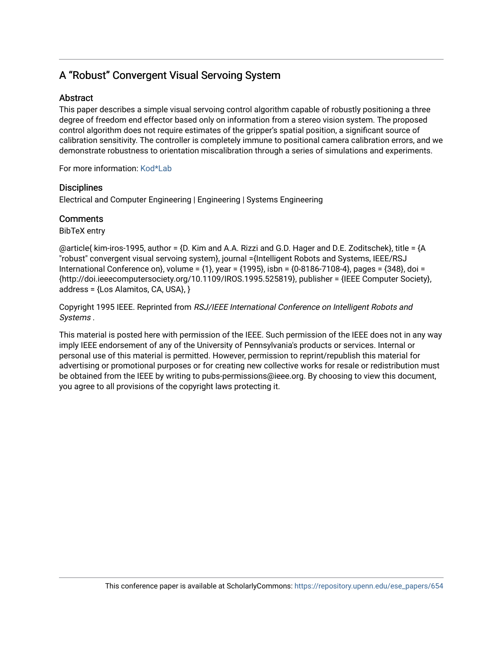# A "Robust" Convergent Visual Servoing System

# **Abstract**

This paper describes a simple visual servoing control algorithm capable of robustly positioning a three degree of freedom end effector based only on information from a stereo vision system. The proposed control algorithm does not require estimates of the gripper's spatial position, a significant source of calibration sensitivity. The controller is completely immune to positional camera calibration errors, and we demonstrate robustness to orientation miscalibration through a series of simulations and experiments.

For more information: [Kod\\*Lab](http://kodlab.seas.upenn.edu/Kod/IROS1995a)

# **Disciplines**

Electrical and Computer Engineering | Engineering | Systems Engineering

# **Comments**

BibTeX entry

@article{ kim-iros-1995, author = {D. Kim and A.A. Rizzi and G.D. Hager and D.E. Zoditschek}, title = {A "robust" convergent visual servoing system}, journal ={Intelligent Robots and Systems, IEEE/RSJ International Conference on}, volume = {1}, year = {1995}, isbn = {0-8186-7108-4}, pages = {348}, doi = {http://doi.ieeecomputersociety.org/10.1109/IROS.1995.525819}, publisher = {IEEE Computer Society}, address = {Los Alamitos, CA, USA}, }

Copyright 1995 IEEE. Reprinted from RSJ/IEEE International Conference on Intelligent Robots and Systems .

This material is posted here with permission of the IEEE. Such permission of the IEEE does not in any way imply IEEE endorsement of any of the University of Pennsylvania's products or services. Internal or personal use of this material is permitted. However, permission to reprint/republish this material for advertising or promotional purposes or for creating new collective works for resale or redistribution must be obtained from the IEEE by writing to pubs-permissions@ieee.org. By choosing to view this document, you agree to all provisions of the copyright laws protecting it.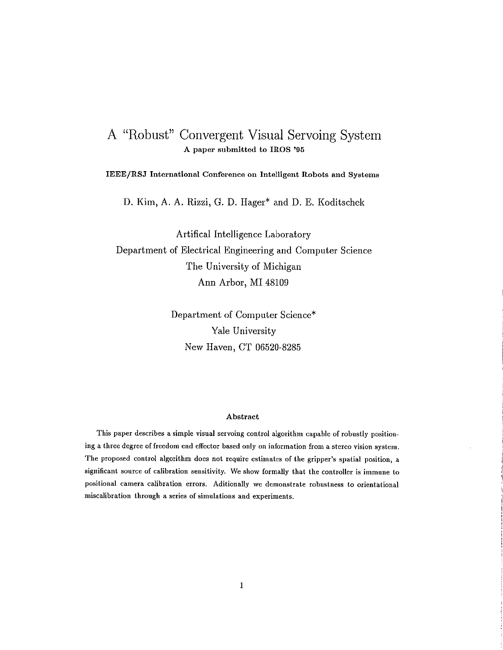# A "Robust" Convergent Visual Servoing System A paper submitted to IROS '95

IEEE/RSJ International Conference on Intelligent Robots and Systems

D. Kim, A. A. Rizzi, G. D. Hager\* and D. E. Koditschek

Artifical Intelligence Laboratory Department of Electrical Engineering and Computer Science The University of Michigan Ann Arbor, MI 48109

> Department of Computer Science\* Yale University New Haven, CT 06520-8285

## Abstract

This paper describes a simple visual servoing control algorithm capable of robustly positioning a three degree of freedom end effector based only on information from a stereo vision system. The proposed control algorithm does not require estimates of the gripper's spatial position, a significant source of calibration sensitivity. We show formally that the controller is immune to positional camera calibration errors. Aditionally we demonstrate robustness to orientational miscalibration through a series of simulations and experiments.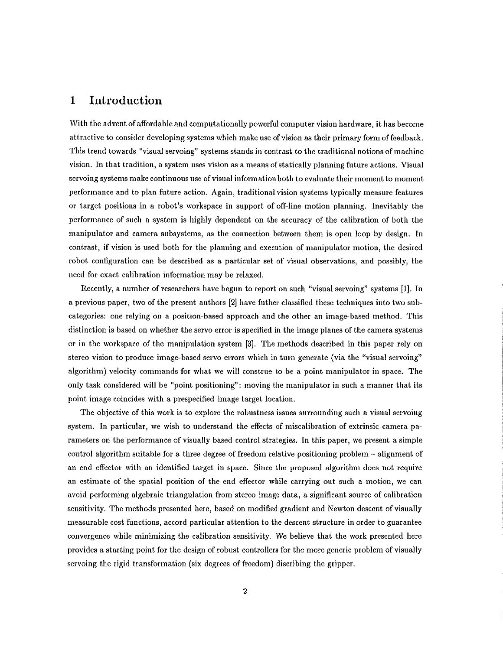### $\mathbf{1}$ Introduction

With the advent of affordable and computationally powerful computer vision hardware, it has become attractive to consider developing systems which make use of vision as their primary form of feedback. This trend towards "visual servoing" systems stands in contrast to the traditional notions of machine vision. In that tradition, a system uses vision as a means of statically planning future actions. Visual servoing systems make continuous use of visual information both to evaluate their moment to moment performance and to plan future action. Again, traditional vision systems typically measure features or target positions in a robot's workspace in support of off-line motion planning. Inevitably the performance of such a system is highly dependent on the accuracy of the calibration of both the manipulator and camera subsystems, as the connection between them is open loop by design. In contrast, if vision is used both for the planning and execution of manipulator motion, the desired robot configuration can be described as a particular set of visual observations, and possibly, the need for exact calibration information may be relaxed.

Recently, a number of researchers have begun to report on such "visual servoing" systems [1]. In a previous paper, two of the present authors [2] have futher classified these techniques into two subcategories: one relying on a position-based approach and the other an image-based method. This distinction is based on whether the servo error is specified in the image planes of the camera systems or in the workspace of the manipulation system [3]. The methods described in this paper rely on stereo vision to produce image-based servo errors which in turn generate (via the "visual servoing" algorithm) velocity commands for what we will construe to be a point manipulator in space. The only task considered will be "point positioning": moving the manipulator in such a manner that its point image coincides with a prespecified image target location.

The objective of this work is to explore the robustness issues surrounding such a visual servoing system. In particular, we wish to understand the effects of miscalibration of extrinsic camera parameters on the performance of visually based control strategies. In this paper, we present a simple control algorithm suitable for a three degree of freedom relative positioning problem - alignment of an end effector with an identified target in space. Since the proposed algorithm does not require an estimate of the spatial position of the end effector while carrying out such a motion, we can avoid performing algebraic triangulation from stereo image data, a significant source of calibration sensitivity. The methods presented here, based on modified gradient and Newton descent of visually measurable cost functions, accord particular attention to the descent structure in order to guarantee convergence while minimizing the calibration sensitivity. We believe that the work presented here provides a starting point for the design of robust controllers for the more generic problem of visually servoing the rigid transformation (six degrees of freedom) discribing the gripper.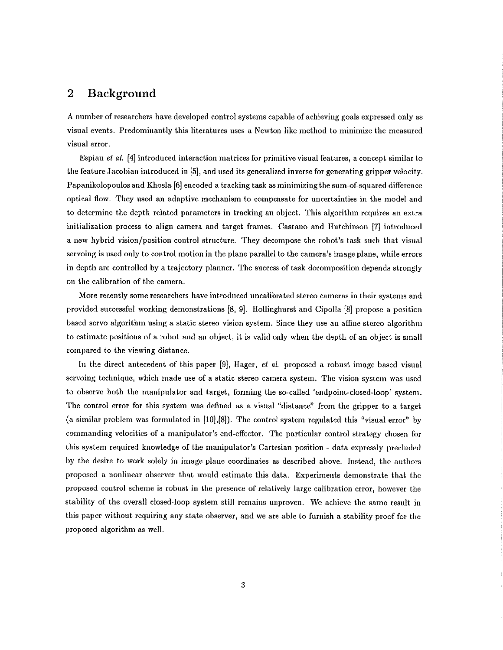### $\overline{2}$ **Background**

A number of researchers have developed control systems capable of achieving goals expressed only as visual events. Predominantly this literatures uses a Newton like method to minimize the measured visual error.

Espiau et al. [4] introduced interaction matrices for primitive visual features, a concept similar to the feature Jacobian introduced in [5], and used its generalized inverse for generating gripper velocity. Papanikolopoulos and Khosla [6] encoded a tracking task as minimizing the sum-of-squared difference optical flow. They used an adaptive mechanism to compensate for uncertainties in the model and to determine the depth related parameters in tracking an object. This algorithm requires an extra initialization process to align camera and target frames. Castano and Hutchinson [7] introduced a new hybrid vision/position control structure. They decompose the robot's task such that visual servoing is used only to control motion in the plane parallel to the camera's image plane, while errors in depth are controlled by a trajectory planner. The success of task decomposition depends strongly on the calibration of the camera.

More recently some researchers have introduced uncalibrated stereo cameras in their systems and provided successful working demonstrations [8, 9]. Hollinghurst and Cipolla [8] propose a position based servo algorithm using a static stereo vision system. Since they use an affine stereo algorithm to estimate positions of a robot and an object, it is valid only when the depth of an object is small compared to the viewing distance.

In the direct antecedent of this paper [9], Hager, et al. proposed a robust image based visual servoing technique, which made use of a static stereo camera system. The vision system was used to observe both the manipulator and target, forming the so-called 'endpoint-closed-loop' system. The control error for this system was defined as a visual "distance" from the gripper to a target (a similar problem was formulated in [10],[8]). The control system regulated this "visual error" by commanding velocities of a manipulator's end-effector. The particular control strategy chosen for this system required knowledge of the manipulator's Cartesian position - data expressly precluded by the desire to work solely in image plane coordinates as described above. Instead, the authors proposed a nonlinear observer that would estimate this data. Experiments demonstrate that the proposed control scheme is robust in the presence of relatively large calibration error, however the stability of the overall closed-loop system still remains unproven. We achieve the same result in this paper without requiring any state observer, and we are able to furnish a stability proof for the proposed algorithm as well.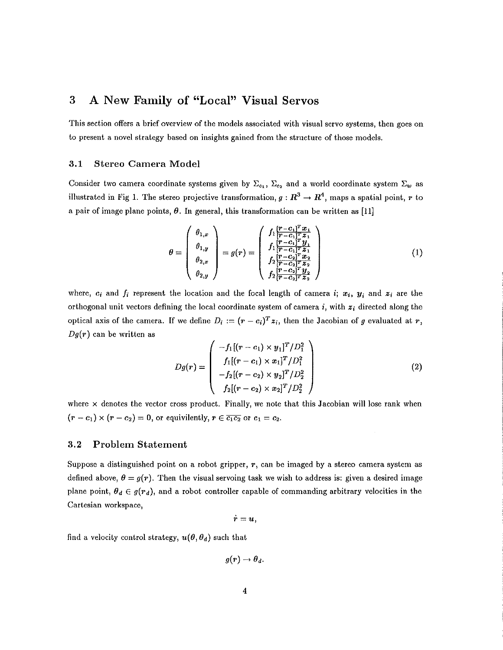### 3 A New Family of "Local" Visual Servos

This section offers a brief overview of the models associated with visual servo systems, then goes on to present a novel strategy based on insights gained from the structure of those models.

#### $3.1$ **Stereo Camera Model**

Consider two camera coordinate systems given by  $\Sigma_{c_1}$ ,  $\Sigma_{c_2}$  and a world coordinate system  $\Sigma_w$  as illustrated in Fig 1. The stereo projective transformation,  $g: \mathbb{R}^3 \to \mathbb{R}^4$ , maps a spatial point, r to a pair of image plane points,  $\theta$ . In general, this transformation can be written as [11]

$$
\theta = \begin{pmatrix} \theta_{1,x} \\ \theta_{1,y} \\ \theta_{2,x} \\ \theta_{2,y} \end{pmatrix} = g(r) = \begin{pmatrix} f_1 \frac{(r-c_1)^T x_1}{(r-c_1)^T z_1} \\ f_1 \frac{(r-c_1)^T y_1}{(r-c_1)^T z_1} \\ f_2 \frac{(r-c_2)^T x_2}{(r-c_2)^T z_2} \\ f_2 \frac{(r-c_2)^T y_2}{(r-c_2)^T z_2} \end{pmatrix}
$$
(1)

where,  $c_i$  and  $f_i$  represent the location and the focal length of camera i;  $x_i$ ,  $y_i$  and  $z_i$  are the orthogonal unit vectors defining the local coordinate system of camera i, with  $z_i$  directed along the optical axis of the camera. If we define  $D_i := (r - c_i)^T z_i$ , then the Jacobian of g evaluated at r,  $Dg(r)$  can be written as

$$
Dg(r) = \begin{pmatrix} -f_1[(r-c_1) \times y_1]^T/D_1^2 \\ f_1[(r-c_1) \times x_1]^T/D_1^2 \\ -f_2[(r-c_2) \times y_2]^T/D_2^2 \\ f_2[(r-c_2) \times x_2]^T/D_2^2 \end{pmatrix}
$$
(2)

where  $\times$  denotes the vector cross product. Finally, we note that this Jacobian will lose rank when  $(r-c_1) \times (r-c_2) = 0$ , or equivilently,  $r \in \overline{c_1c_2}$  or  $c_1 = c_2$ .

#### $3.2$ **Problem Statement**

Suppose a distinguished point on a robot gripper,  $r$ , can be imaged by a stereo camera system as defined above,  $\theta = g(r)$ . Then the visual servoing task we wish to address is: given a desired image plane point,  $\theta_d \in g(r_d)$ , and a robot controller capable of commanding arbitrary velocities in the Cartesian workspace,

$$
r=u,
$$

find a velocity control strategy,  $u(\theta, \theta_d)$  such that

 $g(r) \rightarrow \theta_d$ .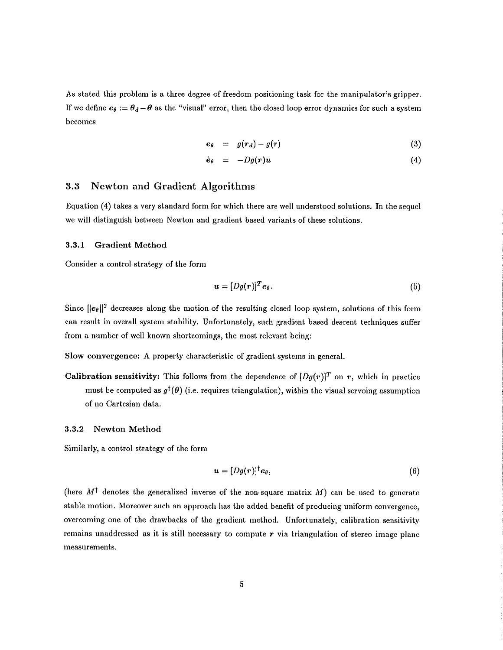As stated this problem is a three degree of freedom positioning task for the manipulator's gripper. If we define  $e_{\theta} := \theta_d - \theta$  as the "visual" error, then the closed loop error dynamics for such a system becomes

$$
e_{\theta} = g(r_d) - g(r) \tag{3}
$$

$$
\dot{e}_{\theta} = -Dg(r)u \tag{4}
$$

#### $3.3$ **Newton and Gradient Algorithms**

Equation (4) takes a very standard form for which there are well understood solutions. In the sequel we will distinguish between Newton and gradient based variants of these solutions.

#### $3.3.1$ **Gradient Method**

Consider a control strategy of the form

$$
\boldsymbol{u} = [Dg(\boldsymbol{r})]^T \boldsymbol{e}_{\theta}.\tag{5}
$$

Since  $||e_{\theta}||^2$  decreases along the motion of the resulting closed loop system, solutions of this form can result in overall system stability. Unfortunately, such gradient based descent techniques suffer from a number of well known shortcomings, the most relevant being:

Slow convergence: A property characteristic of gradient systems in general.

Calibration sensitivity: This follows from the dependence of  $[Dg(r)]^T$  on r, which in practice must be computed as  $g^{\dagger}(\theta)$  (i.e. requires triangulation), within the visual servoing assumption of no Cartesian data.

#### 3.3.2 Newton Method

Similarly, a control strategy of the form

$$
\mathbf{u} = [Dg(\mathbf{r})]^\dagger \mathbf{e}_{\theta}, \tag{6}
$$

(here  $M^{\dagger}$  denotes the generalized inverse of the non-square matrix  $M$ ) can be used to generate stable motion. Moreover such an approach has the added benefit of producing uniform convergence. overcoming one of the drawbacks of the gradient method. Unfortunately, calibration sensitivity remains unaddressed as it is still necessary to compute  $r$  via triangulation of stereo image plane measurements.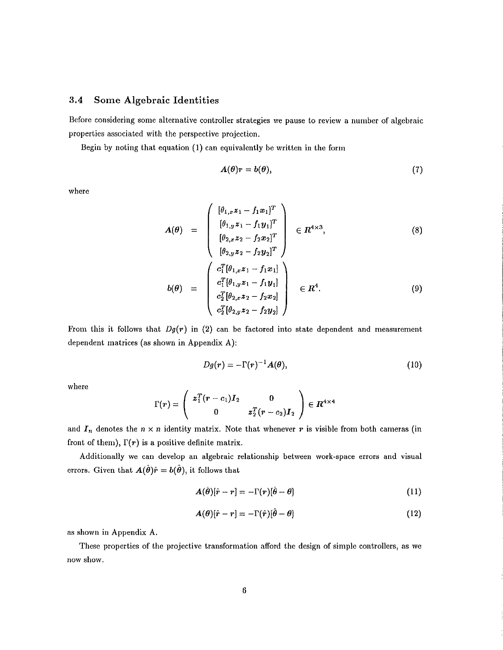#### 3.4 Some Algebraic Identities

Before considering some alternative controller strategies we pause to review a number of algebraic properties associated with the perspective projection.

Begin by noting that equation (1) can equivalently be written in the form

$$
A(\theta)r = b(\theta), \tag{7}
$$

where

$$
A(\theta) = \begin{pmatrix} [\theta_{1,x}z_1 - f_1x_1]^T \\ [\theta_{1,y}z_1 - f_1y_1]^T \\ [\theta_{2,x}z_2 - f_2x_2]^T \\ [\theta_{2,y}z_2 - f_2y_2]^T \end{pmatrix} \in R^{4\times 3},
$$
\n(8)  
\n
$$
\begin{pmatrix} c_1^T[\theta_{1,x}z_1 - f_1x_1] \\ c_1^T[\theta_{1,x}z_1 - f_1x_1] \\ \end{pmatrix}
$$

$$
b(\theta) = \begin{bmatrix} c_1^T[\theta_{1,y}z_1 - f_1y_1] \\ c_2^T[\theta_{2,x}z_2 - f_2x_2] \\ c_2^T[\theta_{2,y}z_2 - f_2y_2] \end{bmatrix} \in R^4.
$$
 (9)

From this it follows that  $Dg(r)$  in (2) can be factored into state dependent and measurement dependent matrices (as shown in Appendix A):

$$
Dg(r) = -\Gamma(r)^{-1}A(\theta),\qquad(10)
$$

where

$$
\Gamma(r)=\left(\begin{array}{cc}z_1^T(r-c_1)I_2&0\\0&z_2^T(r-c_2)I_2\end{array}\right)\in R^{4\times 4}
$$

and  $I_n$  denotes the  $n \times n$  identity matrix. Note that whenever r is visible from both cameras (in front of them),  $\Gamma(r)$  is a positive definite matrix.

Additionally we can develop an algebraic relationship between work-space errors and visual errors. Given that  $A(\hat{\theta})\hat{r} = b(\hat{\theta})$ , it follows that

$$
\mathbf{A}(\hat{\boldsymbol{\theta}})[\hat{r}-r] = -\Gamma(r)[\hat{\boldsymbol{\theta}} - \boldsymbol{\theta}] \tag{11}
$$

$$
A(\theta)[\hat{r} - r] = -\Gamma(\hat{r})[\hat{\theta} - \theta]
$$
\n(12)

as shown in Appendix A.

These properties of the projective transformation afford the design of simple controllers, as we now show.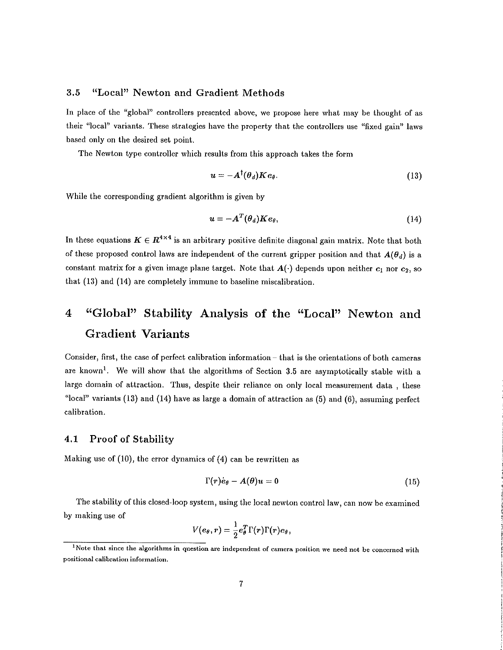### "Local" Newton and Gradient Methods  $3.5$

In place of the "global" controllers presented above, we propose here what may be thought of as their "local" variants. These strategies have the property that the controllers use "fixed gain" laws based only on the desired set point.

The Newton type controller which results from this approach takes the form

$$
u = -A^{\dagger}(\theta_d) K e_{\theta}.
$$
 (13)

While the corresponding gradient algorithm is given by

$$
u = -A^T(\theta_d) K e_{\theta}, \qquad (14)
$$

In these equations  $K \in R^{4 \times 4}$  is an arbitrary positive definite diagonal gain matrix. Note that both of these proposed control laws are independent of the current gripper position and that  $A(\theta_d)$  is a constant matrix for a given image plane target. Note that  $A(\cdot)$  depends upon neither  $c_1$  nor  $c_2$ , so that (13) and (14) are completely immune to baseline miscalibration.

# "Global" Stability Analysis of the "Local" Newton and  $\overline{4}$ **Gradient Variants**

Consider, first, the case of perfect calibration information - that is the orientations of both cameras are known<sup>1</sup>. We will show that the algorithms of Section 3.5 are asymptotically stable with a large domain of attraction. Thus, despite their reliance on only local measurement data, these "local" variants  $(13)$  and  $(14)$  have as large a domain of attraction as  $(5)$  and  $(6)$ , assuming perfect calibration.

#### $4.1$ **Proof of Stability**

Making use of  $(10)$ , the error dynamics of  $(4)$  can be rewritten as

$$
\Gamma(r)\dot{e}_{\theta}-A(\theta)u=0 \qquad (15)
$$

The stability of this closed-loop system, using the local newton control law, can now be examined by making use of

$$
V(e_{\theta},r)=\frac{1}{2}e_{\theta}^{T}\Gamma(r)\Gamma(r)e_{\theta},
$$

<sup>&</sup>lt;sup>1</sup>Note that since the algorithms in question are independent of camera position we need not be concerned with positional calibration information.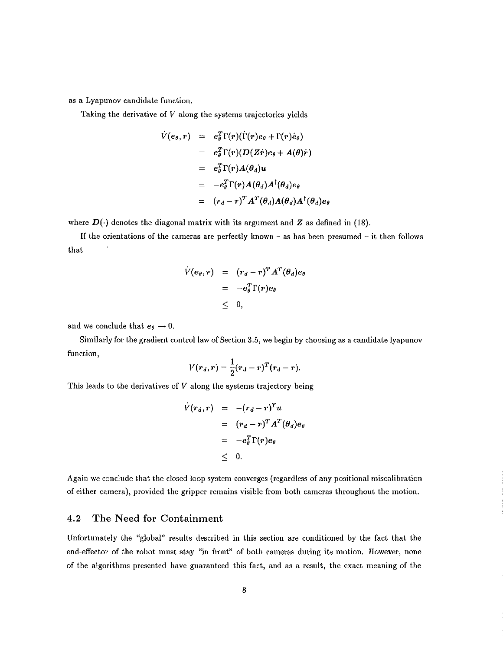as a Lyapunov candidate function.

Taking the derivative of  $V$  along the systems trajectories yields

$$
\dot{V}(e_{\theta},r) = e_{\theta}^{T} \Gamma(r) (\dot{\Gamma}(r) e_{\theta} + \Gamma(r) \dot{e}_{\theta})
$$
\n
$$
= e_{\theta}^{T} \Gamma(r) (D(Z\dot{r}) e_{\theta} + A(\theta)\dot{r})
$$
\n
$$
= e_{\theta}^{T} \Gamma(r) A(\theta_{d}) u
$$
\n
$$
= -e_{\theta}^{T} \Gamma(r) A(\theta_{d}) A^{\dagger}(\theta_{d}) e_{\theta}
$$
\n
$$
= (r_{d} - r)^{T} A^{T}(\theta_{d}) A(\theta_{d}) A^{\dagger}(\theta_{d}) e_{\theta}
$$

where  $D(\cdot)$  denotes the diagonal matrix with its argument and Z as defined in (18).

If the orientations of the cameras are perfectly known – as has been presumed – it then follows that

$$
\dot{V}(e_{\theta},r) = (r_d - r)^T A^T (\theta_d) e_{\theta} \n= -e_{\theta}^T \Gamma(r) e_{\theta} \n\leq 0,
$$

and we conclude that  $e_{\theta} \rightarrow 0$ .

Similarly for the gradient control law of Section 3.5, we begin by choosing as a candidate lyapunov function.

$$
V(r_d,r)=\frac{1}{2}(r_d-r)^T(r_d-r).
$$

This leads to the derivatives of  $V$  along the systems trajectory being

$$
\dot{V}(r_d, r) = -(r_d - r)^T u
$$
  
=  $(r_d - r)^T A^T (\theta_d) e_{\theta}$   
=  $-e_{\theta}^T \Gamma(r) e_{\theta}$   
<  $0$ .

Again we conclude that the closed loop system converges (regardless of any positional miscalibration of either camera), provided the gripper remains visible from both cameras throughout the motion.

#### 4.2 The Need for Containment

Unfortunately the "global" results described in this section are conditioned by the fact that the end-effector of the robot must stay "in front" of both cameras during its motion. However, none of the algorithms presented have guaranteed this fact, and as a result, the exact meaning of the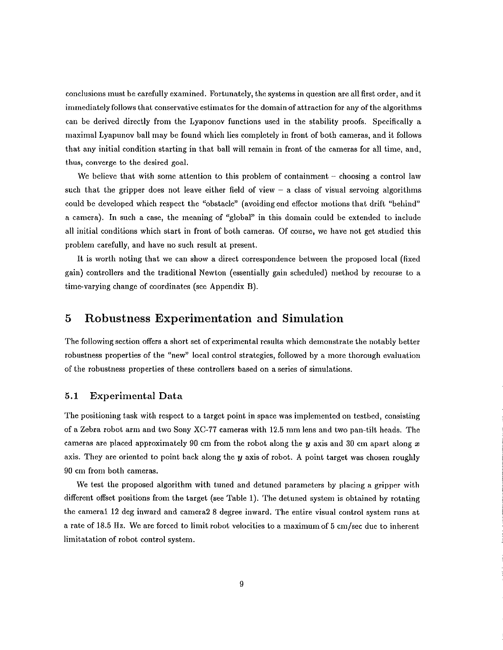conclusions must be carefully examined. Fortunately, the systems in question are all first order, and it immediately follows that conservative estimates for the domain of attraction for any of the algorithms can be derived directly from the Lyaponov functions used in the stability proofs. Specifically a maximal Lyapunov ball may be found which lies completely in front of both cameras, and it follows that any initial condition starting in that ball will remain in front of the cameras for all time, and, thus, converge to the desired goal.

We believe that with some attention to this problem of containment – choosing a control law such that the gripper does not leave either field of view  $-$  a class of visual servoing algorithms could be developed which respect the "obstacle" (avoiding end effector motions that drift "behind" a camera). In such a case, the meaning of "global" in this domain could be extended to include all initial conditions which start in front of both cameras. Of course, we have not get studied this problem carefully, and have no such result at present.

It is worth noting that we can show a direct correspondence between the proposed local (fixed gain) controllers and the traditional Newton (essentially gain scheduled) method by recourse to a time-varying change of coordinates (see Appendix B).

### 5 Robustness Experimentation and Simulation

The following section offers a short set of experimental results which demonstrate the notably better robustness properties of the "new" local control strategies, followed by a more thorough evaluation of the robustness properties of these controllers based on a series of simulations.

#### **Experimental Data**  $5.1$

The positioning task with respect to a target point in space was implemented on testbed, consisting of a Zebra robot arm and two Sony XC-77 cameras with 12.5 mm lens and two pan-tilt heads. The cameras are placed approximately 90 cm from the robot along the  $y$  axis and 30 cm apart along  $x$ axis. They are oriented to point back along the  $y$  axis of robot. A point target was chosen roughly 90 cm from both cameras.

We test the proposed algorithm with tuned and detuned parameters by placing a gripper with different offset positions from the target (see Table 1). The detuned system is obtained by rotating the cameral 12 deg inward and camera 28 degree inward. The entire visual control system runs at a rate of 18.5 Hz. We are forced to limit robot velocities to a maximum of 5 cm/sec due to inherent limitatation of robot control system.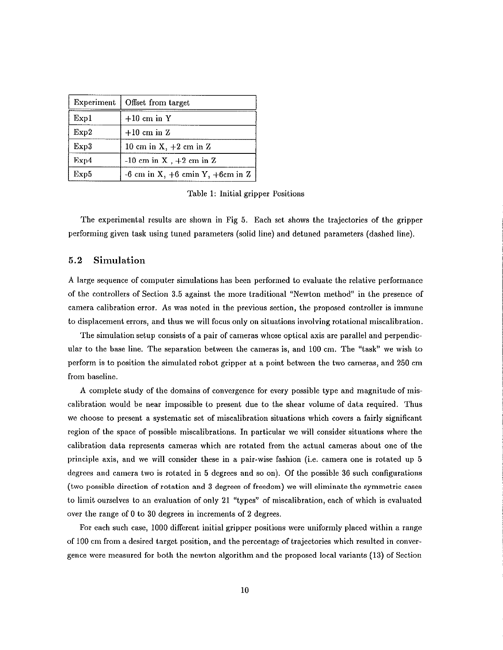| Experiment | Offset from target                       |
|------------|------------------------------------------|
| Exp1       | $+10$ cm in Y                            |
| Exp2       | $+10$ cm in Z                            |
| Exp3       | 10 cm in $X$ , $+2$ cm in $Z$            |
| Exp4       | $-10$ cm in X, $+2$ cm in Z              |
| Exp5       | $-6$ cm in X, $+6$ cm in Y, $+6$ cm in Z |

Table 1: Initial gripper Positions

The experimental results are shown in Fig 5. Each set shows the trajectories of the gripper performing given task using tuned parameters (solid line) and detuned parameters (dashed line).

#### $5.2$ Simulation

A large sequence of computer simulations has been performed to evaluate the relative performance of the controllers of Section 3.5 against the more traditional "Newton method" in the presence of camera calibration error. As was noted in the previous section, the proposed controller is immune to displacement errors, and thus we will focus only on situations involving rotational miscalibration.

The simulation setup consists of a pair of cameras whose optical axis are parallel and perpendicular to the base line. The separation between the cameras is, and 100 cm. The "task" we wish to perform is to position the simulated robot gripper at a point between the two cameras, and 250 cm from baseline.

A complete study of the domains of convergence for every possible type and magnitude of miscalibration would be near impossible to present due to the shear volume of data required. Thus we choose to present a systematic set of miscalibration situations which covers a fairly significant region of the space of possible miscalibrations. In particular we will consider situations where the calibration data represents cameras which are rotated from the actual cameras about one of the principle axis, and we will consider these in a pair-wise fashion (i.e. camera one is rotated up 5 degrees and camera two is rotated in 5 degrees and so on). Of the possible 36 such configurations (two possible direction of rotation and 3 degrees of freedom) we will eliminate the symmetric cases to limit ourselves to an evaluation of only 21 "types" of miscalibration, each of which is evaluated over the range of 0 to 30 degrees in increments of 2 degrees.

For each such case, 1000 different initial gripper positions were uniformly placed within a range of 100 cm from a desired target position, and the percentage of trajectories which resulted in convergence were measured for both the newton algorithm and the proposed local variants (13) of Section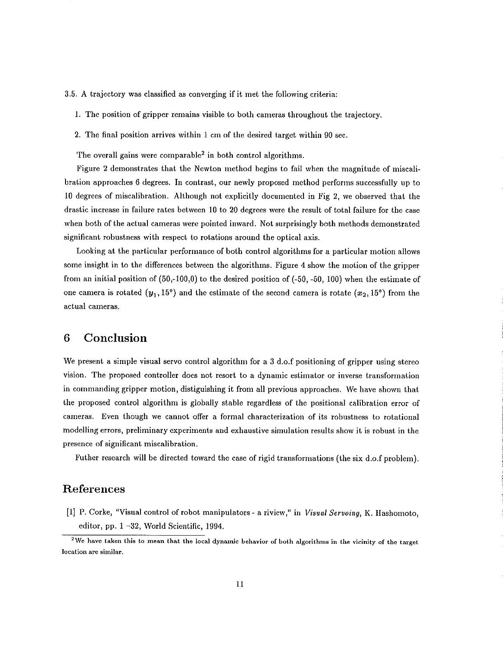- 3.5. A trajectory was classified as converging if it met the following criteria:
	- 1. The position of gripper remains visible to both cameras throughout the trajectory.
	- 2. The final position arrives within 1 cm of the desired target within 90 sec.

The overall gains were comparable<sup>2</sup> in both control algorithms.

Figure 2 demonstrates that the Newton method begins to fail when the magnitude of miscalibration approaches 6 degrees. In contrast, our newly proposed method performs successfully up to 10 degrees of miscalibration. Although not explicitly documented in Fig 2, we observed that the drastic increase in failure rates between 10 to 20 degrees were the result of total failure for the case when both of the actual cameras were pointed inward. Not surprisingly both methods demonstrated significant robustness with respect to rotations around the optical axis.

Looking at the particular performance of both control algorithms for a particular motion allows some insight in to the differences between the algorithms. Figure 4 show the motion of the gripper from an initial position of  $(50,-100,0)$  to the desired position of  $(-50,-50, 100)$  when the estimate of one camera is rotated  $(y_1, 15^{\circ})$  and the estimate of the second camera is rotate  $(x_2, 15^{\circ})$  from the actual cameras.

### 6 Conclusion

We present a simple visual servo control algorithm for a 3 d.o.f positioning of gripper using stereo vision. The proposed controller does not resort to a dynamic estimator or inverse transformation in commanding gripper motion, distiguishing it from all previous approaches. We have shown that the proposed control algorithm is globally stable regardless of the positional calibration error of cameras. Even though we cannot offer a formal characterization of its robustness to rotational modelling errors, preliminary experiments and exhaustive simulation results show it is robust in the presence of significant miscalibration.

Futher research will be directed toward the case of rigid transformations (the six d.o.f problem).

# References

[1] P. Corke, "Visual control of robot manipulators - a riview," in Visual Servoing, K. Hashomoto, editor, pp. 1-32, World Scientific, 1994.

<sup>&</sup>lt;sup>2</sup>We have taken this to mean that the local dynamic behavior of both algorithms in the vicinity of the target location are similar.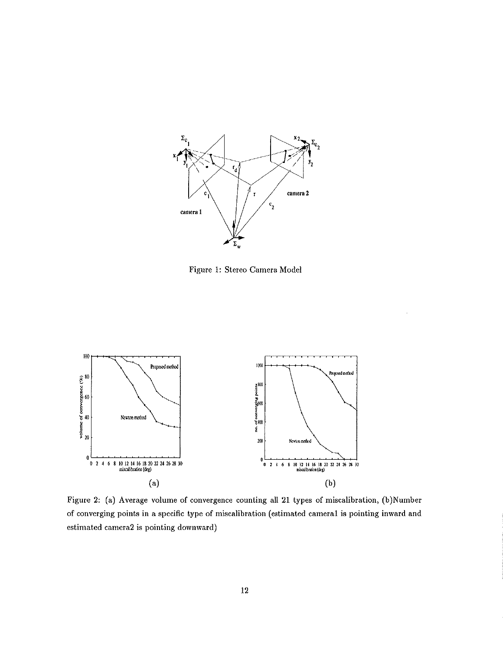

Figure 1: Stereo Camera Model



Figure 2: (a) Average volume of convergence counting all 21 types of miscalibration, (b)Number of converging points in a specific type of miscalibration (estimated cameral is pointing inward and estimated camera2 is pointing downward)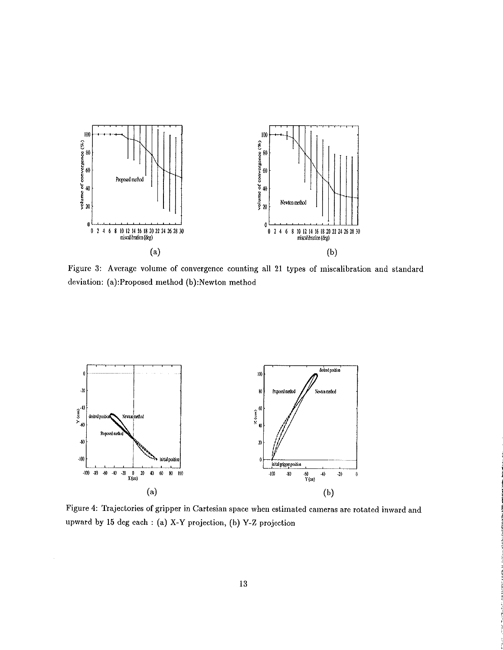

Figure 3: Average volume of convergence counting all 21 types of miscalibration and standard deviation: (a):Proposed method (b):Newton method



 $\bar{z}$ 

Figure 4: Trajectories of gripper in Cartesian space when estimated cameras are rotated inward and upward by 15 deg each : (a) X-Y projection, (b) Y-Z projection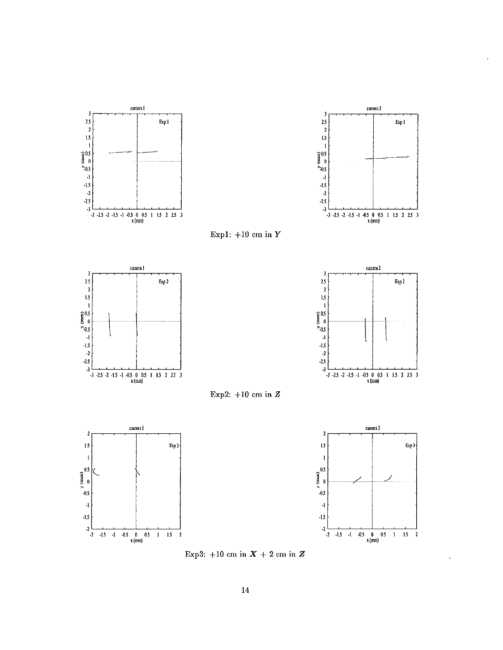

 $\overline{1}$ 



Exp1:  $+10$  cm in  $Y$ 











 $\ddot{\phantom{a}}$ 

Exp3:  $+10$  cm in  $X + 2$  cm in  $Z$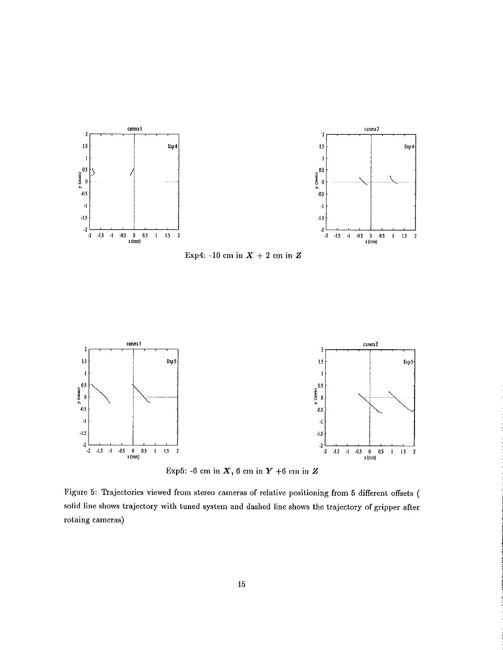

Exp4: -10 cm in  $X + 2$  cm in Z



Exp5: -6 cm in  $X$ , 6 cm in  $Y$  +6 cm in  $Z$ 

Figure 5: Trajectories viewed from stereo cameras of relative positioning from 5 different offsets ( solid line shows trajectory with tuned system and dashed line shows the trajectory of gripper after rotaing cameras)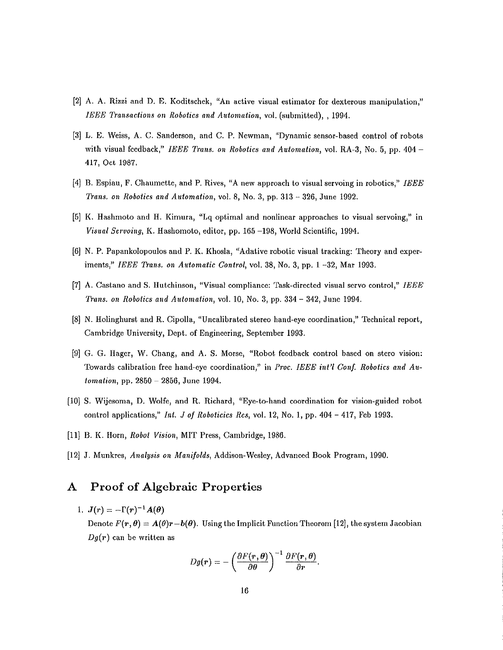- [2] A. A. Rizzi and D. E. Koditschek, "An active visual estimator for dexterous manipulation," IEEE Transactions on Robotics and Automation, vol. (submitted), 1994.
- [3] L. E. Weiss, A. C. Sanderson, and C. P. Newman, "Dynamic sensor-based control of robots with visual feedback," IEEE Trans. on Robotics and Automation, vol. RA-3, No. 5, pp. 404 -417, Oct 1987.
- [4] B. Espiau, F. Chaumette, and P. Rives, "A new approach to visual servoing in robotics," IEEE Trans. on Robotics and Automation, vol. 8, No. 3, pp. 313 - 326, June 1992.
- [5] K. Hashmoto and H. Kimura, "Lq optimal and nonlinear approaches to visual servoing," in Visual Servoing, K. Hashomoto, editor, pp. 165-198, World Scientific, 1994.
- [6] N. P. Papankolopoulos and P. K. Khosla, "Adative robotic visual tracking: Theory and experiments," IEEE Trans. on Automatic Control, vol. 38, No. 3, pp. 1 -32, Mar 1993.
- [7] A. Castano and S. Hutchinson, "Visual compliance: Task-directed visual servo control," IEEE Trans. on Robotics and Automation, vol. 10, No. 3, pp. 334 - 342, June 1994.
- [8] N. Holinghurst and R. Cipolla, "Uncalibrated stereo hand-eye coordination," Technical report, Cambridge University, Dept. of Engineering, September 1993.
- [9] G. G. Hager, W. Chang, and A. S. Morse, "Robot feedback control based on stero vision: Towards calibration free hand-eve coordination," in Proc. IEEE int'l Conf. Robotics and Automation, pp. 2850 - 2856, June 1994.
- [10] S. Wijesoma, D. Wolfe, and R. Richard, "Eye-to-hand coordination for vision-guided robot control applications," Int. J of Roboticies Res, vol. 12, No. 1, pp. 404 - 417, Feb 1993.
- [11] B. K. Horn, Robot Vision, MIT Press, Cambridge, 1986.
- [12] J. Munkres, Analysis on Manifolds, Addison-Wesley, Advanced Book Program, 1990.

### A Proof of Algebraic Properties

1.  $J(r) = -\Gamma(r)^{-1}A(\theta)$ Denote  $F(r, \theta) = A(\theta)r - b(\theta)$ . Using the Implicit Function Theorem [12], the system Jacobian  $Dg(r)$  can be written as

$$
Dg(r)=-\left(\frac{\partial F(r,\theta)}{\partial \theta}\right)^{-1}\frac{\partial F(r,\theta)}{\partial r}.
$$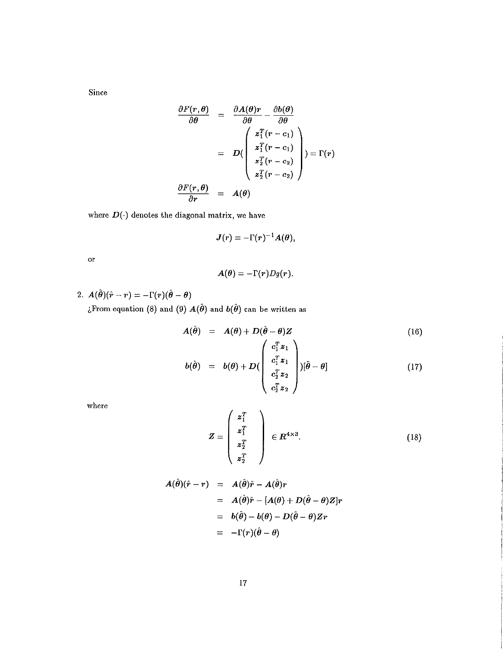Since

 $\mathcal{A}$ 

$$
\frac{\partial F(r, \theta)}{\partial \theta} = \frac{\partial A(\theta)r}{\partial \theta} - \frac{\partial b(\theta)}{\partial \theta}
$$

$$
= D\left(\begin{array}{c} z_1^T(r-c_1) \\ z_1^T(r-c_1) \\ z_2^T(r-c_2) \\ z_2^T(r-c_2) \end{array}\right) = \Gamma(r)
$$

$$
\frac{\partial F(r, \theta)}{\partial r} = A(\theta)
$$

where  $D(\cdot)$  denotes the diagonal matrix, we have

$$
J(r) = -\Gamma(r)^{-1}A(\theta),
$$

 $\overline{\text{or}}$ 

$$
\boldsymbol{A}(\boldsymbol{\theta}) = -\Gamma(\boldsymbol{r})D\boldsymbol{g}(\boldsymbol{r}).
$$

2.  $A(\hat{\theta})(\hat{r}-r) = -\Gamma(r)(\hat{\theta}-\theta)$ ¿From equation (8) and (9)  $A(\hat{\theta})$  and  $b(\hat{\theta})$  can be written as

$$
A(\hat{\theta}) = A(\theta) + D(\hat{\theta} - \theta)Z
$$
\n
$$
\begin{pmatrix} c^T x \\ c \end{pmatrix}
$$
\n(16)

$$
b(\hat{\theta}) = b(\theta) + D\left(\begin{array}{c} c_1^2 z_1 \\ c_1^T z_1 \\ c_2^T z_2 \\ c_2^T z_2 \end{array}\right) [\hat{\theta} - \theta] \qquad (17)
$$

where

$$
Z = \begin{pmatrix} z_1^T \\ z_1^T \\ z_2^T \\ z_2^T \end{pmatrix} \in \mathbb{R}^{4 \times 3}.
$$
 (18)

$$
A(\hat{\theta})(\hat{r} - r) = A(\hat{\theta})\hat{r} - A(\hat{\theta})r
$$
  
=  $A(\hat{\theta})\hat{r} - [A(\theta) + D(\hat{\theta} - \theta)Z]r$   
=  $b(\hat{\theta}) - b(\theta) - D(\hat{\theta} - \theta)Zr$   
=  $-\Gamma(r)(\hat{\theta} - \theta)$